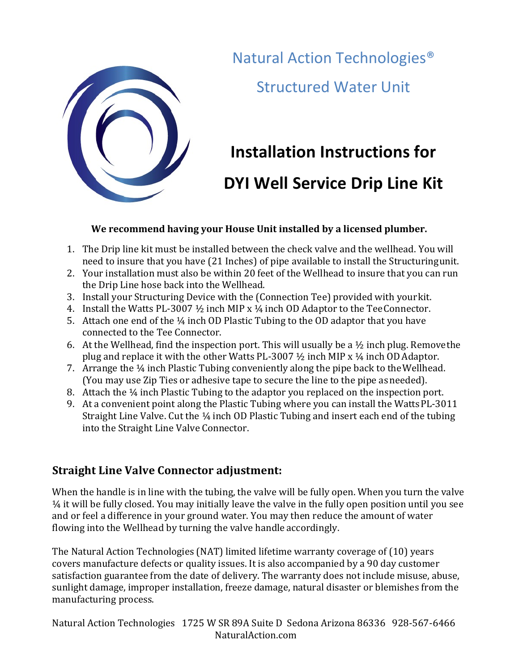

Natural Action Technologies<sup>®</sup> **Structured Water Unit** 

## **Installation Instructions for DYI Well Service Drip Line Kit**

## We recommend having your House Unit installed by a licensed plumber.

- 1. The Drip line kit must be installed between the check valve and the wellhead. You will need to insure that you have (21 Inches) of pipe available to install the Structuringunit.
- 2. Your installation must also be within 20 feet of the Wellhead to insure that you can run the Drip Line hose back into the Wellhead.
- 3. Install your Structuring Device with the (Connection Tee) provided with your kit.
- 4. Install the Watts PL-3007  $\frac{1}{2}$  inch MIP x  $\frac{1}{4}$  inch OD Adaptor to the Tee Connector.
- 5. Attach one end of the  $\frac{1}{4}$  inch OD Plastic Tubing to the OD adaptor that you have connected to the Tee Connector.
- 6. At the Wellhead, find the inspection port. This will usually be a  $\frac{1}{2}$  inch plug. Removethe plug and replace it with the other Watts PL-3007  $\frac{1}{2}$  inch MIP x  $\frac{1}{4}$  inch OD Adaptor.
- 7. Arrange the  $\frac{1}{4}$  inch Plastic Tubing conveniently along the pipe back to the Wellhead. (You may use Zip Ties or adhesive tape to secure the line to the pipe as needed).
- 8. Attach the  $\frac{1}{4}$  inch Plastic Tubing to the adaptor you replaced on the inspection port.
- 9. At a convenient point along the Plastic Tubing where you can install the WattsPL-3011 Straight Line Valve. Cut the  $\frac{1}{4}$  inch OD Plastic Tubing and insert each end of the tubing into the Straight Line Valve Connector.

## **Straight Line Valve Connector adjustment:**

When the handle is in line with the tubing, the valve will be fully open. When you turn the valve  $\frac{1}{4}$  it will be fully closed. You may initially leave the valve in the fully open position until you see and or feel a difference in your ground water. You may then reduce the amount of water flowing into the Wellhead by turning the valve handle accordingly.

The Natural Action Technologies (NAT) limited lifetime warranty coverage of (10) years covers manufacture defects or quality issues. It is also accompanied by a 90 day customer satisfaction guarantee from the date of delivery. The warranty does not include misuse, abuse, sunlight damage, improper installation, freeze damage, natural disaster or blemishes from the manufacturing process.

Natural Action Technologies 1725 W SR 89A Suite D Sedona Arizona 86336 928-567-6466 NaturalAction.com